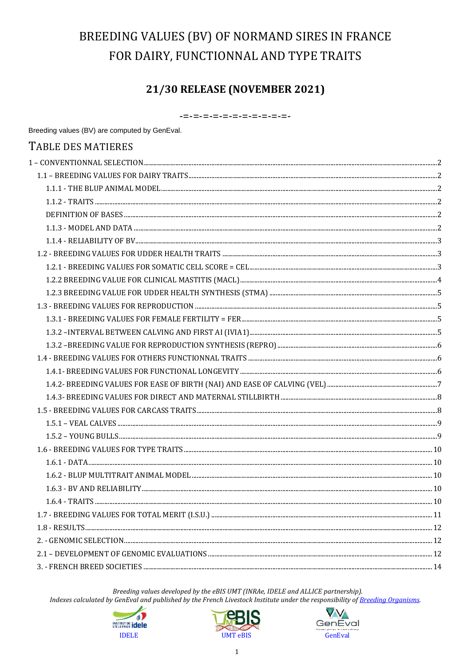# BREEDING VALUES (BV) OF NORMAND SIRES IN FRANCE FOR DAIRY, FUNCTIONNAL AND TYPE TRAITS

# 21/30 RELEASE (NOVEMBER 2021)

-=-=-=-=-=-=-=-=-=-=-=-

| TABLE DES MATIERES |  |
|--------------------|--|
|                    |  |
|                    |  |
|                    |  |
|                    |  |
|                    |  |
|                    |  |
|                    |  |
|                    |  |
|                    |  |
|                    |  |
|                    |  |
|                    |  |
|                    |  |
|                    |  |
|                    |  |
|                    |  |
|                    |  |
|                    |  |
|                    |  |
|                    |  |
|                    |  |
|                    |  |
|                    |  |
|                    |  |
|                    |  |
|                    |  |
|                    |  |
|                    |  |
|                    |  |
|                    |  |
|                    |  |
|                    |  |

Breeding values developed by the eBIS UMT (INRAe, IDELE and ALLICE partnership).





Breeding values (BV) are computed by GenEval.



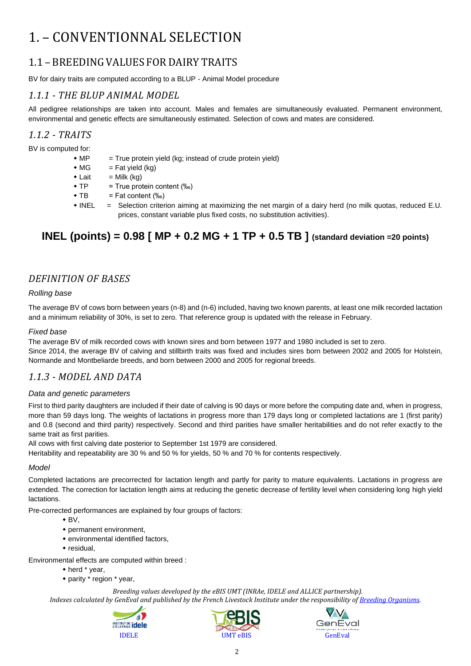# <span id="page-1-0"></span>1. – CONVENTIONNAL SELECTION

# <span id="page-1-1"></span>1.1 – BREEDING VALUES FOR DAIRY TRAITS

BV for dairy traits are computed according to a BLUP - Animal Model procedure

## <span id="page-1-2"></span>*1.1.1 - THE BLUP ANIMAL MODEL*

All pedigree relationships are taken into account. Males and females are simultaneously evaluated. Permanent environment, environmental and genetic effects are simultaneously estimated. Selection of cows and mates are considered.

### <span id="page-1-3"></span>*1.1.2 - TRAITS*

BV is computed for:

- $M$ P = True protein yield (kg; instead of crude protein yield)
- $\bullet$  MG = Fat yield (kg)
- $\bullet$  Lait = Milk (kg)
- $\bullet$  TP = True protein content (‰)
- $\bullet$  TB = Fat content  $(\%_0)$
- INEL = Selection criterion aiming at maximizing the net margin of a dairy herd (no milk quotas, reduced E.U. prices, constant variable plus fixed costs, no substitution activities).

# **INEL (points) = 0.98 [ MP + 0.2 MG + 1 TP + 0.5 TB ] (standard deviation =20 points)**

## <span id="page-1-4"></span>*DEFINITION OF BASES*

#### *Rolling base*

The average BV of cows born between years (n-8) and (n-6) included, having two known parents, at least one milk recorded lactation and a minimum reliability of 30%, is set to zero. That reference group is updated with the release in February.

#### *Fixed base*

The average BV of milk recorded cows with known sires and born between 1977 and 1980 included is set to zero.

Since 2014, the average BV of calving and stillbirth traits was fixed and includes sires born between 2002 and 2005 for Holstein, Normande and Montbeliarde breeds, and born between 2000 and 2005 for regional breeds.

### <span id="page-1-5"></span>*1.1.3 - MODEL AND DATA*

#### *Data and genetic parameters*

First to third parity daughters are included if their date of calving is 90 days or more before the computing date and, when in progress, more than 59 days long. The weights of lactations in progress more than 179 days long or completed lactations are 1 (first parity) and 0.8 (second and third parity) respectively. Second and third parities have smaller heritabilities and do not refer exactly to the same trait as first parities.

All cows with first calving date posterior to September 1st 1979 are considered.

Heritability and repeatability are 30 % and 50 % for yields, 50 % and 70 % for contents respectively.

#### *Model*

Completed lactations are precorrected for lactation length and partly for parity to mature equivalents. Lactations in progress are extended. The correction for lactation length aims at reducing the genetic decrease of fertility level when considering long high yield lactations.

Pre-corrected performances are explained by four groups of factors:

- $\bullet$  BV.
- permanent environment,
- environmental identified factors,
- residual,

Environmental effects are computed within breed :

- herd \* year,
- parity \* region \* year,





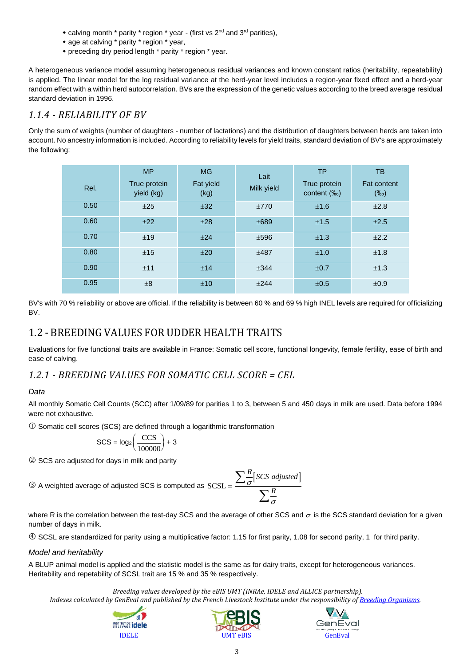- calving month  $*$  parity  $*$  region  $*$  year (first vs  $2<sup>nd</sup>$  and  $3<sup>rd</sup>$  parities),
- age at calving \* parity \* region \* year,
- preceding dry period length \* parity \* region \* year.

A heterogeneous variance model assuming heterogeneous residual variances and known constant ratios (heritability, repeatability) is applied. The linear model for the log residual variance at the herd-year level includes a region-year fixed effect and a herd-year random effect with a within herd autocorrelation. BVs are the expression of the genetic values according to the breed average residual standard deviation in 1996.

### <span id="page-2-0"></span>*1.1.4 - RELIABILITY OF BV*

Only the sum of weights (number of daughters - number of lactations) and the distribution of daughters between herds are taken into account. No ancestry information is included. According to reliability levels for yield traits, standard deviation of BV's are approximately the following:

| Rel. | <b>MP</b><br>True protein<br>yield (kg) | <b>MG</b><br>Fat yield<br>(kg) | Lait<br>Milk yield | <b>TP</b><br>True protein<br>content (‰) | TB<br><b>Fat content</b><br>$(\%circ)$ |
|------|-----------------------------------------|--------------------------------|--------------------|------------------------------------------|----------------------------------------|
| 0.50 | ±25                                     | ±32                            | ±770               | ±1.6                                     | ±2.8                                   |
| 0.60 | $+22$                                   | ±28                            | ±689               | ±1.5                                     | ±2.5                                   |
| 0.70 | ±19                                     | ±24                            | ±596               | ±1.3                                     | ±2.2                                   |
| 0.80 | ±15                                     | ±20                            | $+487$             | ±1.0                                     | ±1.8                                   |
| 0.90 | ±11                                     | ±14                            | ±344               | ±0.7                                     | ±1.3                                   |
| 0.95 | $\pm 8$                                 | ±10                            | $+244$             | ±0.5                                     | ±0.9                                   |

BV's with 70 % reliability or above are official. If the reliability is between 60 % and 69 % high INEL levels are required for officializing BV.

# <span id="page-2-1"></span>1.2 - BREEDING VALUES FOR UDDER HEALTH TRAITS

Evaluations for five functional traits are available in France: Somatic cell score, functional longevity, female fertility, ease of birth and ease of calving.

## <span id="page-2-2"></span>*1.2.1 - BREEDING VALUES FOR SOMATIC CELL SCORE = CEL*

#### *Data*

All monthly Somatic Cell Counts (SCC) after 1/09/89 for parities 1 to 3, between 5 and 450 days in milk are used. Data before 1994 were not exhaustive.

Somatic cell scores (SCS) are defined through a logarithmic transformation

$$
SCS = \log_2\left(\frac{CCS}{100000}\right) + 3
$$

SCS are adjusted for days in milk and parity

 $\textcircled{3}$  A weighted average of adjusted SCS is computed as  $SCSL =$ 

$$
L = \frac{\sum \frac{R}{\sigma} [SCS \text{ adjusted}]}{\sum \frac{R}{\sigma}}
$$

where R is the correlation between the test-day SCS and the average of other SCS and  $\sigma$  is the SCS standard deviation for a given number of days in milk.

SCSL are standardized for parity using a multiplicative factor: 1.15 for first parity, 1.08 for second parity, 1 for third parity.

#### *Model and heritability*

A BLUP animal model is applied and the statistic model is the same as for dairy traits, except for heterogeneous variances. Heritability and repetability of SCSL trait are 15 % and 35 % respectively.

*Breeding values developed by the eBIS UMT (INRAe, IDELE and ALLICE partnership).*





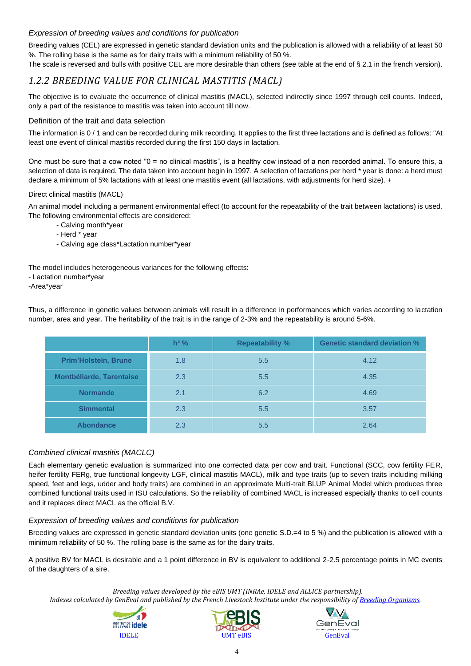### *Expression of breeding values and conditions for publication*

Breeding values (CEL) are expressed in genetic standard deviation units and the publication is allowed with a reliability of at least 50 %. The rolling base is the same as for dairy traits with a minimum reliability of 50 %.

The scale is reversed and bulls with positive CEL are more desirable than others (see table at the end of § 2.1 in the french version).

### <span id="page-3-0"></span>*1.2.2 BREEDING VALUE FOR CLINICAL MASTITIS (MACL)*

The objective is to evaluate the occurrence of clinical mastitis (MACL), selected indirectly since 1997 through cell counts. Indeed, only a part of the resistance to mastitis was taken into account till now.

#### Definition of the trait and data selection

The information is 0 / 1 and can be recorded during milk recording. It applies to the first three lactations and is defined as follows: "At least one event of clinical mastitis recorded during the first 150 days in lactation.

One must be sure that a cow noted "0 = no clinical mastitis", is a healthy cow instead of a non recorded animal. To ensure this, a selection of data is required. The data taken into account begin in 1997. A selection of lactations per herd \* year is done: a herd must declare a minimum of 5% lactations with at least one mastitis event (all lactations, with adjustments for herd size). +

#### Direct clinical mastitis (MACL)

An animal model including a permanent environmental effect (to account for the repeatability of the trait between lactations) is used. The following environmental effects are considered:

- Calving month\*year
- Herd \* year
- Calving age class\*Lactation number\*year

The model includes heterogeneous variances for the following effects:

- Lactation number\*year
- -Area\*year

Thus, a difference in genetic values between animals will result in a difference in performances which varies according to lactation number, area and year. The heritability of the trait is in the range of 2-3% and the repeatability is around 5-6%.

|                             | $h^2$ % | <b>Repeatability %</b> | <b>Genetic standard deviation %</b> |
|-----------------------------|---------|------------------------|-------------------------------------|
| <b>Prim'Holstein, Brune</b> | 1.8     | 5.5                    | 4.12                                |
| Montbéliarde, Tarentaise    | 2.3     | 5.5                    | 4.35                                |
| <b>Normande</b>             | 2.1     | 6.2                    | 4.69                                |
| <b>Simmental</b>            | 2.3     | 5.5                    | 3.57                                |
| <b>Abondance</b>            | 2.3     | 5.5                    | 2.64                                |

#### *Combined clinical mastitis (MACLC)*

Each elementary genetic evaluation is summarized into one corrected data per cow and trait. Functional (SCC, cow fertility FER, heifer fertility FERg, true functional longevity LGF, clinical mastitis MACL), milk and type traits (up to seven traits including milking speed, feet and legs, udder and body traits) are combined in an approximate Multi-trait BLUP Animal Model which produces three combined functional traits used in ISU calculations. So the reliability of combined MACL is increased especially thanks to cell counts and it replaces direct MACL as the official B.V.

#### *Expression of breeding values and conditions for publication*

Breeding values are expressed in genetic standard deviation units (one genetic S.D.=4 to 5 %) and the publication is allowed with a minimum reliability of 50 %. The rolling base is the same as for the dairy traits.

A positive BV for MACL is desirable and a 1 point difference in BV is equivalent to additional 2-2.5 percentage points in MC events of the daughters of a sire.

*Breeding values developed by the eBIS UMT (INRAe, IDELE and ALLICE partnership).*





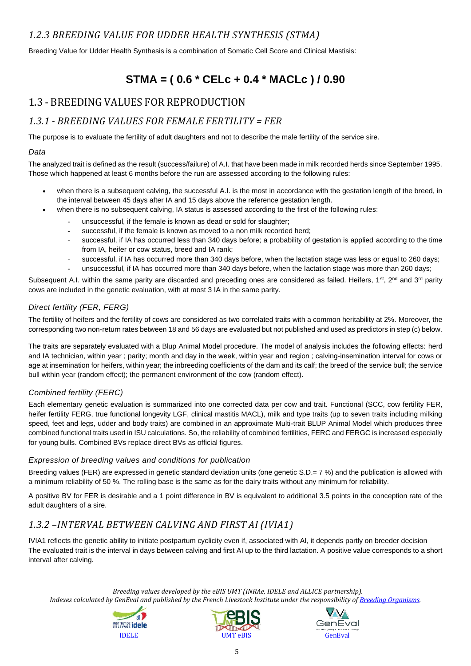# <span id="page-4-0"></span>*1.2.3 BREEDING VALUE FOR UDDER HEALTH SYNTHESIS (STMA)*

Breeding Value for Udder Health Synthesis is a combination of Somatic Cell Score and Clinical Mastisis:

# **STMA = ( 0.6 \* CELc + 0.4 \* MACLc ) / 0.90**

# <span id="page-4-1"></span>1.3 - BREEDING VALUES FOR REPRODUCTION

# <span id="page-4-2"></span>*1.3.1 - BREEDING VALUES FOR FEMALE FERTILITY = FER*

The purpose is to evaluate the fertility of adult daughters and not to describe the male fertility of the service sire.

### *Data*

The analyzed trait is defined as the result (success/failure) of A.I. that have been made in milk recorded herds since September 1995. Those which happened at least 6 months before the run are assessed according to the following rules:

- when there is a subsequent calving, the successful A.I. is the most in accordance with the gestation length of the breed, in the interval between 45 days after IA and 15 days above the reference gestation length.
- when there is no subsequent calving, IA status is assessed according to the first of the following rules:
	- unsuccessful, if the female is known as dead or sold for slaughter;
	- successful, if the female is known as moved to a non milk recorded herd;
	- successful, if IA has occurred less than 340 days before; a probability of gestation is applied according to the time from IA, heifer or cow status, breed and IA rank;
	- successful, if IA has occurred more than 340 days before, when the lactation stage was less or equal to 260 days;
	- unsuccessful, if IA has occurred more than 340 days before, when the lactation stage was more than 260 days;

Subsequent A.I. within the same parity are discarded and preceding ones are considered as failed. Heifers, 1<sup>st</sup>, 2<sup>nd</sup> and 3<sup>rd</sup> parity cows are included in the genetic evaluation, with at most 3 IA in the same parity.

### *Direct fertility (FER, FERG)*

The fertility of heifers and the fertility of cows are considered as two correlated traits with a common heritability at 2%. Moreover, the corresponding two non-return rates between 18 and 56 days are evaluated but not published and used as predictors in step (c) below.

The traits are separately evaluated with a Blup Animal Model procedure. The model of analysis includes the following effects: herd and IA technician, within year ; parity; month and day in the week, within year and region ; calving-insemination interval for cows or age at insemination for heifers, within year; the inbreeding coefficients of the dam and its calf; the breed of the service bull; the service bull within year (random effect); the permanent environment of the cow (random effect).

### *Combined fertility (FERC)*

Each elementary genetic evaluation is summarized into one corrected data per cow and trait. Functional (SCC, cow fertility FER, heifer fertility FERG, true functional longevity LGF, clinical mastitis MACL), milk and type traits (up to seven traits including milking speed, feet and legs, udder and body traits) are combined in an approximate Multi-trait BLUP Animal Model which produces three combined functional traits used in ISU calculations. So, the reliability of combined fertilities, FERC and FERGC is increased especially for young bulls. Combined BVs replace direct BVs as official figures.

#### *Expression of breeding values and conditions for publication*

Breeding values (FER) are expressed in genetic standard deviation units (one genetic S.D.= 7 %) and the publication is allowed with a minimum reliability of 50 %. The rolling base is the same as for the dairy traits without any minimum for reliability.

A positive BV for FER is desirable and a 1 point difference in BV is equivalent to additional 3.5 points in the conception rate of the adult daughters of a sire.

# <span id="page-4-3"></span>*1.3.2 –INTERVAL BETWEEN CALVING AND FIRST AI (IVIA1)*

IVIA1 reflects the genetic ability to initiate postpartum cyclicity even if, associated with AI, it depends partly on breeder decision The evaluated trait is the interval in days between calving and first AI up to the third lactation. A positive value corresponds to a short interval after calving.





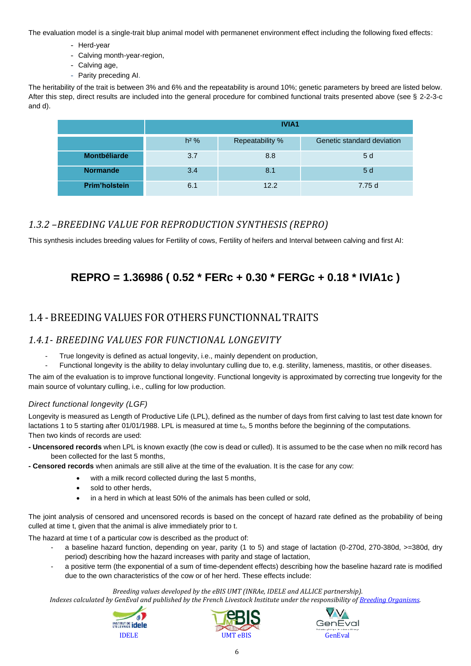The evaluation model is a single-trait blup animal model with permanenet environment effect including the following fixed effects:

- Herd-year
- Calving month-year-region,
- Calving age,
- Parity preceding AI.

The heritability of the trait is between 3% and 6% and the repeatability is around 10%; genetic parameters by breed are listed below. After this step, direct results are included into the general procedure for combined functional traits presented above (see § 2-2-3-c and d).

|                      | <b>IVIA1</b>                                            |      |        |  |  |
|----------------------|---------------------------------------------------------|------|--------|--|--|
|                      | $h2$ %<br>Genetic standard deviation<br>Repeatability % |      |        |  |  |
| <b>Montbéliarde</b>  | 3.7                                                     | 8.8  | 5d     |  |  |
| <b>Normande</b>      | 3.4                                                     | 8.1  | 5d     |  |  |
| <b>Prim'holstein</b> | 6.1                                                     | 12.2 | 7.75 d |  |  |

# <span id="page-5-0"></span>*1.3.2 –BREEDING VALUE FOR REPRODUCTION SYNTHESIS (REPRO)*

This synthesis includes breeding values for Fertility of cows, Fertility of heifers and Interval between calving and first AI:

# **REPRO = 1.36986 ( 0.52 \* FERc + 0.30 \* FERGc + 0.18 \* IVIA1c )**

# <span id="page-5-1"></span>1.4 - BREEDING VALUES FOR OTHERS FUNCTIONNAL TRAITS

## <span id="page-5-2"></span>*1.4.1- BREEDING VALUES FOR FUNCTIONAL LONGEVITY*

- True longevity is defined as actual longevity, i.e., mainly dependent on production,
- Functional longevity is the ability to delay involuntary culling due to, e.g. sterility, lameness, mastitis, or other diseases.

The aim of the evaluation is to improve functional longevity. Functional longevity is approximated by correcting true longevity for the main source of voluntary culling, i.e., culling for low production.

### *Direct functional longevity (LGF)*

Longevity is measured as Length of Productive Life (LPL), defined as the number of days from first calving to last test date known for lactations 1 to 5 starting after 01/01/1988. LPL is measured at time to, 5 months before the beginning of the computations. Then two kinds of records are used:

- **- Uncensored records** when LPL is known exactly (the cow is dead or culled). It is assumed to be the case when no milk record has been collected for the last 5 months,
- **- Censored records** when animals are still alive at the time of the evaluation. It is the case for any cow:
	- with a milk record collected during the last 5 months,
	- sold to other herds,
	- in a herd in which at least 50% of the animals has been culled or sold,

The joint analysis of censored and uncensored records is based on the concept of hazard rate defined as the probability of being culled at time t, given that the animal is alive immediately prior to t.

The hazard at time t of a particular cow is described as the product of:

- a baseline hazard function, depending on year, parity (1 to 5) and stage of lactation (0-270d, 270-380d, >=380d, dry period) describing how the hazard increases with parity and stage of lactation,
- a positive term (the exponential of a sum of time-dependent effects) describing how the baseline hazard rate is modified due to the own characteristics of the cow or of her herd. These effects include:

#### *Breeding values developed by the eBIS UMT (INRAe, IDELE and ALLICE partnership).*





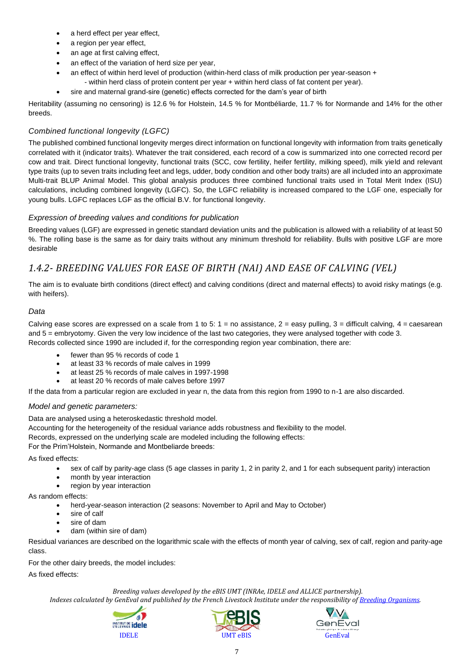- a herd effect per year effect,
- a region per year effect,
- an age at first calving effect,
- an effect of the variation of herd size per year,
- an effect of within herd level of production (within-herd class of milk production per year-season + - within herd class of protein content per year + within herd class of fat content per year).
- sire and maternal grand-sire (genetic) effects corrected for the dam's year of birth

Heritability (assuming no censoring) is 12.6 % for Holstein, 14.5 % for Montbéliarde, 11.7 % for Normande and 14% for the other breeds.

### *Combined functional longevity (LGFC)*

The published combined functional longevity merges direct information on functional longevity with information from traits genetically correlated with it (indicator traits). Whatever the trait considered, each record of a cow is summarized into one corrected record per cow and trait. Direct functional longevity, functional traits (SCC, cow fertility, heifer fertility, milking speed), milk yield and relevant type traits (up to seven traits including feet and legs, udder, body condition and other body traits) are all included into an approximate Multi-trait BLUP Animal Model. This global analysis produces three combined functional traits used in Total Merit Index (ISU) calculations, including combined longevity (LGFC). So, the LGFC reliability is increased compared to the LGF one, especially for young bulls. LGFC replaces LGF as the official B.V. for functional longevity.

### *Expression of breeding values and conditions for publication*

Breeding values (LGF) are expressed in genetic standard deviation units and the publication is allowed with a reliability of at least 50 %. The rolling base is the same as for dairy traits without any minimum threshold for reliability. Bulls with positive LGF are more desirable

# <span id="page-6-0"></span>*1.4.2- BREEDING VALUES FOR EASE OF BIRTH (NAI) AND EASE OF CALVING (VEL)*

The aim is to evaluate birth conditions (direct effect) and calving conditions (direct and maternal effects) to avoid risky matings (e.g. with heifers).

### *Data*

Calving ease scores are expressed on a scale from 1 to 5:  $1 =$  no assistance,  $2 =$  easy pulling,  $3 =$  difficult calving,  $4 =$  caesarean and 5 = embryotomy. Given the very low incidence of the last two categories, they were analysed together with code 3. Records collected since 1990 are included if, for the corresponding region year combination, there are:

- fewer than 95 % records of code 1
- at least 33 % records of male calves in 1999
- at least 25 % records of male calves in 1997-1998
- at least 20 % records of male calves before 1997

If the data from a particular region are excluded in year n, the data from this region from 1990 to n-1 are also discarded.

### *Model and genetic parameters:*

Data are analysed using a heteroskedastic threshold model.

Accounting for the heterogeneity of the residual variance adds robustness and flexibility to the model.

Records, expressed on the underlying scale are modeled including the following effects:

For the Prim'Holstein, Normande and Montbeliarde breeds:

As fixed effects:

- sex of calf by parity-age class (5 age classes in parity 1, 2 in parity 2, and 1 for each subsequent parity) interaction
- month by year interaction
- region by year interaction

As random effects:

- herd-year-season interaction (2 seasons: November to April and May to October)
- sire of calf
- sire of dam
- dam (within sire of dam)

Residual variances are described on the logarithmic scale with the effects of month year of calving, sex of calf, region and parity-age class.

For the other dairy breeds, the model includes:

As fixed effects:

*Breeding values developed by the eBIS UMT (INRAe, IDELE and ALLICE partnership).*





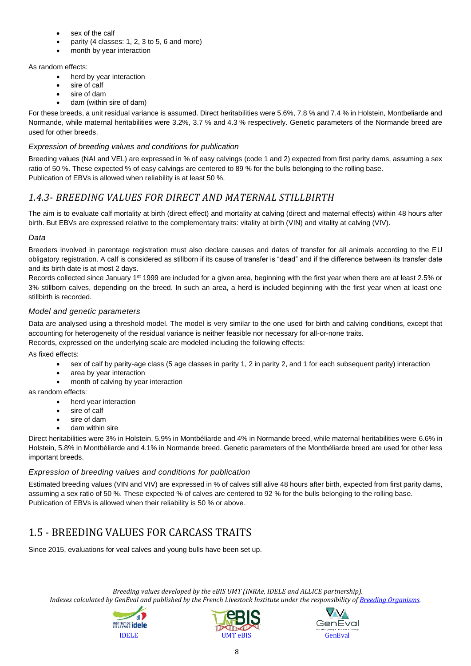- sex of the calf
- parity (4 classes: 1, 2, 3 to 5, 6 and more)
- month by year interaction

#### As random effects:

- herd by year interaction
- sire of calf
- sire of dam
- dam (within sire of dam)

For these breeds, a unit residual variance is assumed. Direct heritabilities were 5.6%, 7.8 % and 7.4 % in Holstein, Montbeliarde and Normande, while maternal heritabilities were 3.2%, 3.7 % and 4.3 % respectively. Genetic parameters of the Normande breed are used for other breeds.

### *Expression of breeding values and conditions for publication*

Breeding values (NAI and VEL) are expressed in % of easy calvings (code 1 and 2) expected from first parity dams, assuming a sex ratio of 50 %. These expected % of easy calvings are centered to 89 % for the bulls belonging to the rolling base. Publication of EBVs is allowed when reliability is at least 50 %.

# <span id="page-7-0"></span>*1.4.3- BREEDING VALUES FOR DIRECT AND MATERNAL STILLBIRTH*

The aim is to evaluate calf mortality at birth (direct effect) and mortality at calving (direct and maternal effects) within 48 hours after birth. But EBVs are expressed relative to the complementary traits: vitality at birth (VIN) and vitality at calving (VIV).

### *Data*

Breeders involved in parentage registration must also declare causes and dates of transfer for all animals according to the EU obligatory registration. A calf is considered as stillborn if its cause of transfer is "dead" and if the difference between its transfer date and its birth date is at most 2 days.

Records collected since January 1<sup>st</sup> 1999 are included for a given area, beginning with the first year when there are at least 2.5% or 3% stillborn calves, depending on the breed. In such an area, a herd is included beginning with the first year when at least one stillbirth is recorded.

#### *Model and genetic parameters*

Data are analysed using a threshold model. The model is very similar to the one used for birth and calving conditions, except that accounting for heterogeneity of the residual variance is neither feasible nor necessary for all-or-none traits.

Records, expressed on the underlying scale are modeled including the following effects:

As fixed effects:

- sex of calf by parity-age class (5 age classes in parity 1, 2 in parity 2, and 1 for each subsequent parity) interaction
- area by year interaction
- month of calving by year interaction

as random effects:

- herd year interaction
- sire of calf
- sire of dam
- dam within sire

Direct heritabilities were 3% in Holstein, 5.9% in Montbéliarde and 4% in Normande breed, while maternal heritabilities were 6.6% in Holstein, 5.8% in Montbéliarde and 4.1% in Normande breed. Genetic parameters of the Montbéliarde breed are used for other less important breeds.

#### *Expression of breeding values and conditions for publication*

Estimated breeding values (VIN and VIV) are expressed in % of calves still alive 48 hours after birth, expected from first parity dams, assuming a sex ratio of 50 %. These expected % of calves are centered to 92 % for the bulls belonging to the rolling base. Publication of EBVs is allowed when their reliability is 50 % or above.

# <span id="page-7-1"></span>1.5 - BREEDING VALUES FOR CARCASS TRAITS

Since 2015, evaluations for veal calves and young bulls have been set up.





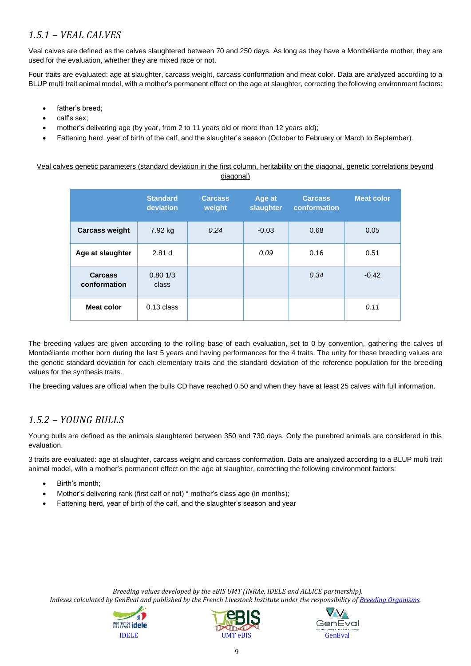# <span id="page-8-0"></span>*1.5.1 – VEAL CALVES*

Veal calves are defined as the calves slaughtered between 70 and 250 days. As long as they have a Montbéliarde mother, they are used for the evaluation, whether they are mixed race or not.

Four traits are evaluated: age at slaughter, carcass weight, carcass conformation and meat color. Data are analyzed according to a BLUP multi trait animal model, with a mother's permanent effect on the age at slaughter, correcting the following environment factors:

- father's breed;
- calf's sex;
- mother's delivering age (by year, from 2 to 11 years old or more than 12 years old);
- Fattening herd, year of birth of the calf, and the slaughter's season (October to February or March to September).

Veal calves genetic parameters (standard deviation in the first column, heritability on the diagonal, genetic correlations beyond diagonal)

|                                | <b>Standard</b><br>deviation | <b>Carcass</b><br>weight | Age at<br>slaughter | <b>Carcass</b><br>conformation | <b>Meat color</b> |
|--------------------------------|------------------------------|--------------------------|---------------------|--------------------------------|-------------------|
| <b>Carcass weight</b>          | 7.92 kg                      | 0.24                     | $-0.03$             | 0.68                           | 0.05              |
| Age at slaughter               | 2.81 <sub>d</sub>            |                          | 0.09                | 0.16                           | 0.51              |
| <b>Carcass</b><br>conformation | 0.801/3<br>class             |                          |                     | 0.34                           | $-0.42$           |
| <b>Meat color</b>              | $0.13$ class                 |                          |                     |                                | 0.11              |

The breeding values are given according to the rolling base of each evaluation, set to 0 by convention, gathering the calves of Montbéliarde mother born during the last 5 years and having performances for the 4 traits. The unity for these breeding values are the genetic standard deviation for each elementary traits and the standard deviation of the reference population for the breeding values for the synthesis traits.

The breeding values are official when the bulls CD have reached 0.50 and when they have at least 25 calves with full information.

### <span id="page-8-1"></span>*1.5.2 – YOUNG BULLS*

Young bulls are defined as the animals slaughtered between 350 and 730 days. Only the purebred animals are considered in this evaluation.

3 traits are evaluated: age at slaughter, carcass weight and carcass conformation. Data are analyzed according to a BLUP multi trait animal model, with a mother's permanent effect on the age at slaughter, correcting the following environment factors:

- Birth's month;
- Mother's delivering rank (first calf or not) \* mother's class age (in months);
- Fattening herd, year of birth of the calf, and the slaughter's season and year





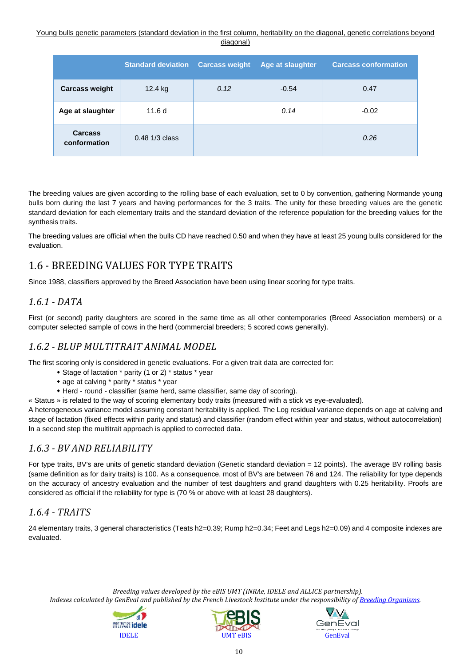#### Young bulls genetic parameters (standard deviation in the first column, heritability on the diagonal, genetic correlations beyond diagonal)

|                                | <b>Standard deviation</b> | <b>Carcass weight</b> | Age at slaughter | <b>Carcass conformation</b> |
|--------------------------------|---------------------------|-----------------------|------------------|-----------------------------|
| <b>Carcass weight</b>          | 12.4 kg                   | 0.12                  | $-0.54$          | 0.47                        |
| Age at slaughter               | 11.6d                     |                       | 0.14             | $-0.02$                     |
| <b>Carcass</b><br>conformation | $0.48$ 1/3 class          |                       |                  | 0.26                        |

The breeding values are given according to the rolling base of each evaluation, set to 0 by convention, gathering Normande young bulls born during the last 7 years and having performances for the 3 traits. The unity for these breeding values are the genetic standard deviation for each elementary traits and the standard deviation of the reference population for the breeding values for the synthesis traits.

The breeding values are official when the bulls CD have reached 0.50 and when they have at least 25 young bulls considered for the evaluation.

# <span id="page-9-0"></span>1.6 - BREEDING VALUES FOR TYPE TRAITS

Since 1988, classifiers approved by the Breed Association have been using linear scoring for type traits.

## <span id="page-9-1"></span>*1.6.1 - DATA*

First (or second) parity daughters are scored in the same time as all other contemporaries (Breed Association members) or a computer selected sample of cows in the herd (commercial breeders; 5 scored cows generally).

### <span id="page-9-2"></span>*1.6.2 - BLUP MULTITRAIT ANIMAL MODEL*

The first scoring only is considered in genetic evaluations. For a given trait data are corrected for:

- Stage of lactation \* parity (1 or 2) \* status \* year
- age at calving \* parity \* status \* year
- Herd round classifier (same herd, same classifier, same day of scoring).

« Status » is related to the way of scoring elementary body traits (measured with a stick vs eye-evaluated).

A heterogeneous variance model assuming constant heritability is applied. The Log residual variance depends on age at calving and stage of lactation (fixed effects within parity and status) and classifier (random effect within year and status, without autocorrelation) In a second step the multitrait approach is applied to corrected data.

## <span id="page-9-3"></span>*1.6.3 - BV AND RELIABILITY*

For type traits, BV's are units of genetic standard deviation (Genetic standard deviation = 12 points). The average BV rolling basis (same definition as for dairy traits) is 100. As a consequence, most of BV's are between 76 and 124. The reliability for type depends on the accuracy of ancestry evaluation and the number of test daughters and grand daughters with 0.25 heritability. Proofs are considered as official if the reliability for type is (70 % or above with at least 28 daughters).

## <span id="page-9-4"></span>*1.6.4 - TRAITS*

24 elementary traits, 3 general characteristics (Teats h2=0.39; Rump h2=0.34; Feet and Legs h2=0.09) and 4 composite indexes are evaluated.





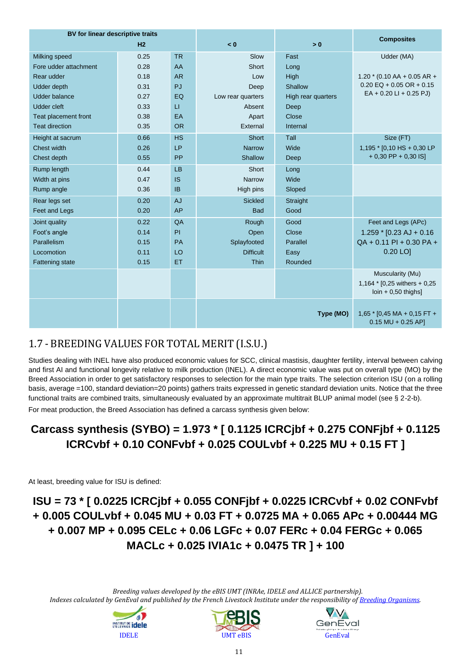| BV for linear descriptive traits |                |           |                   | <b>Composites</b>  |                                                                      |
|----------------------------------|----------------|-----------|-------------------|--------------------|----------------------------------------------------------------------|
|                                  | H <sub>2</sub> |           | < 0               | > 0                |                                                                      |
| Milking speed                    | 0.25           | <b>TR</b> | Slow              | Fast               | Udder (MA)                                                           |
| Fore udder attachment            | 0.28           | AA        | Short             | Long               |                                                                      |
| Rear udder                       | 0.18           | <b>AR</b> | Low               | High               | $1.20 * (0.10 AA + 0.05 AR +$                                        |
| <b>Udder depth</b>               | 0.31           | PJ        | Deep              | Shallow            | $0.20$ EQ + 0.05 OR + 0.15                                           |
| <b>Udder balance</b>             | 0.27           | EQ        | Low rear quarters | High rear quarters | $EA + 0.20 LI + 0.25 PJ$                                             |
| <b>Udder cleft</b>               | 0.33           | $\sqcup$  | Absent            | Deep               |                                                                      |
| Teat placement front             | 0.38           | <b>EA</b> | Apart             | Close              |                                                                      |
| <b>Teat direction</b>            | 0.35           | <b>OR</b> | External          | Internal           |                                                                      |
| Height at sacrum                 | 0.66           | <b>HS</b> | Short             | Tall               | Size (FT)                                                            |
| Chest width                      | 0.26           | LP        | <b>Narrow</b>     | Wide               | 1,195 * [0,10 HS + 0,30 LP                                           |
| Chest depth                      | 0.55           | PP        | Shallow           | Deep               | $+0.30$ PP $+0.30$ IS]                                               |
| Rump length                      | 0.44           | LB        | Short             | Long               |                                                                      |
| Width at pins                    | 0.47           | <b>IS</b> | <b>Narrow</b>     | Wide               |                                                                      |
| Rump angle                       | 0.36           | <b>IB</b> | High pins         | Sloped             |                                                                      |
| Rear legs set                    | 0.20           | <b>AJ</b> | <b>Sickled</b>    | Straight           |                                                                      |
| Feet and Legs                    | 0.20           | <b>AP</b> | <b>Bad</b>        | Good               |                                                                      |
| Joint quality                    | 0.22           | QA        | Rough             | Good               | Feet and Legs (APc)                                                  |
| Foot's angle                     | 0.14           | PI        | Open              | Close              | $1.259$ * [0.23 AJ + 0.16                                            |
| Parallelism                      | 0.15           | PA        | Splayfooted       | Parallel           | $QA + 0.11$ PI + 0.30 PA +                                           |
| Locomotion                       | 0.11           | LO        | <b>Difficult</b>  | Easy               | $0.20$ LO                                                            |
| <b>Fattening state</b>           | 0.15           | ET        | Thin              | Rounded            |                                                                      |
|                                  |                |           |                   |                    | Muscularity (Mu)                                                     |
|                                  |                |           |                   |                    | 1,164 * $[0,25 \text{ withers} + 0,25$                               |
|                                  |                |           |                   |                    | $\left  \text{0} \right $ + 0,50 thighs]                             |
|                                  |                |           |                   |                    |                                                                      |
|                                  |                |           |                   | Type (MO)          | $1,65$ * [0,45 MA + 0,15 FT +<br>$0.15 \text{ MU} + 0.25 \text{ AP}$ |
|                                  |                |           |                   |                    |                                                                      |

# <span id="page-10-0"></span>1.7 - BREEDING VALUES FOR TOTAL MERIT (I.S.U.)

Studies dealing with INEL have also produced economic values for SCC, clinical mastisis, daughter fertility, interval between calving and first AI and functional longevity relative to milk production (INEL). A direct economic value was put on overall type (MO) by the Breed Association in order to get satisfactory responses to selection for the main type traits. The selection criterion ISU (on a rolling basis, average =100, standard deviation=20 points) gathers traits expressed in genetic standard deviation units. Notice that the three functional traits are combined traits, simultaneously evaluated by an approximate multitrait BLUP animal model (see § 2-2-b).

For meat production, the Breed Association has defined a carcass synthesis given below:

# **Carcass synthesis (SYBO) = 1.973 \* [ 0.1125 ICRCjbf + 0.275 CONFjbf + 0.1125 ICRCvbf + 0.10 CONFvbf + 0.025 COULvbf + 0.225 MU + 0.15 FT ]**

At least, breeding value for ISU is defined:

# **ISU = 73 \* [ 0.0225 ICRCjbf + 0.055 CONFjbf + 0.0225 ICRCvbf + 0.02 CONFvbf + 0.005 COULvbf + 0.045 MU + 0.03 FT + 0.0725 MA + 0.065 APc + 0.00444 MG + 0.007 MP + 0.095 CELc + 0.06 LGFc + 0.07 FERc + 0.04 FERGc + 0.065 MACLc + 0.025 IVIA1c + 0.0475 TR ] + 100**





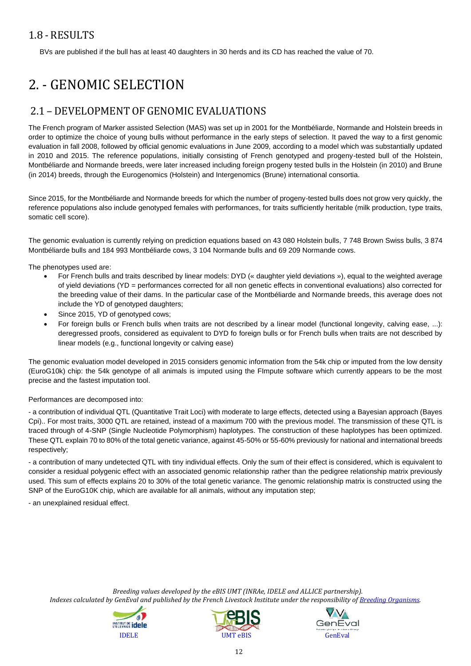# <span id="page-11-0"></span>1.8 - RESULTS

BVs are published if the bull has at least 40 daughters in 30 herds and its CD has reached the value of 70.

# <span id="page-11-1"></span>2. - GENOMIC SELECTION

# <span id="page-11-2"></span>2.1 – DEVELOPMENT OF GENOMIC EVALUATIONS

The French program of Marker assisted Selection (MAS) was set up in 2001 for the Montbéliarde, Normande and Holstein breeds in order to optimize the choice of young bulls without performance in the early steps of selection. It paved the way to a first genomic evaluation in fall 2008, followed by official genomic evaluations in June 2009, according to a model which was substantially updated in 2010 and 2015. The reference populations, initially consisting of French genotyped and progeny-tested bull of the Holstein, Montbéliarde and Normande breeds, were later increased including foreign progeny tested bulls in the Holstein (in 2010) and Brune (in 2014) breeds, through the Eurogenomics (Holstein) and Intergenomics (Brune) international consortia.

Since 2015, for the Montbéliarde and Normande breeds for which the number of progeny-tested bulls does not grow very quickly, the reference populations also include genotyped females with performances, for traits sufficiently heritable (milk production, type traits, somatic cell score).

The genomic evaluation is currently relying on prediction equations based on 43 080 Holstein bulls, 7 748 Brown Swiss bulls, 3 874 Montbéliarde bulls and 184 993 Montbéliarde cows, 3 104 Normande bulls and 69 209 Normande cows.

The phenotypes used are:

- For French bulls and traits described by linear models: DYD (« daughter yield deviations »), equal to the weighted average of yield deviations (YD = performances corrected for all non genetic effects in conventional evaluations) also corrected for the breeding value of their dams. In the particular case of the Montbéliarde and Normande breeds, this average does not include the YD of genotyped daughters;
- Since 2015, YD of genotyped cows;
- For foreign bulls or French bulls when traits are not described by a linear model (functional longevity, calving ease, ...): deregressed proofs, considered as equivalent to DYD fo foreign bulls or for French bulls when traits are not described by linear models (e.g., functional longevity or calving ease)

The genomic evaluation model developed in 2015 considers genomic information from the 54k chip or imputed from the low density (EuroG10k) chip: the 54k genotype of all animals is imputed using the FImpute software which currently appears to be the most precise and the fastest imputation tool.

#### Performances are decomposed into:

- a contribution of individual QTL (Quantitative Trait Loci) with moderate to large effects, detected using a Bayesian approach (Bayes Cpi).. For most traits, 3000 QTL are retained, instead of a maximum 700 with the previous model. The transmission of these QTL is traced through of 4-SNP (Single Nucleotide Polymorphism) haplotypes. The construction of these haplotypes has been optimized. These QTL explain 70 to 80% of the total genetic variance, against 45-50% or 55-60% previously for national and international breeds respectively;

- a contribution of many undetected QTL with tiny individual effects. Only the sum of their effect is considered, which is equivalent to consider a residual polygenic effect with an associated genomic relationship rather than the pedigree relationship matrix previously used. This sum of effects explains 20 to 30% of the total genetic variance. The genomic relationship matrix is constructed using the SNP of the EuroG10K chip, which are available for all animals, without any imputation step;

- an unexplained residual effect.





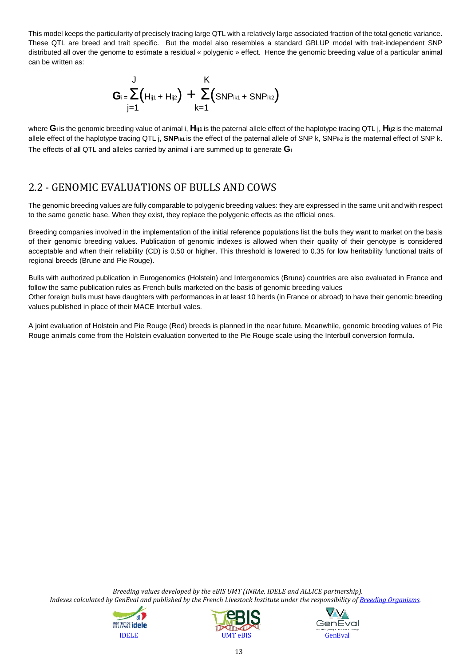This model keeps the particularity of precisely tracing large QTL with a relatively large associated fraction of the total genetic variance. These QTL are breed and trait specific. But the model also resembles a standard GBLUP model with trait-independent SNP distributed all over the genome to estimate a residual « polygenic » effect. Hence the genomic breeding value of a particular animal can be written as:

$$
G_{i} = \sum_{j=1}^{J} (H_{ij1} + H_{ij2}) + \sum_{k=1}^{K} (SNP_{ik1} + SNP_{ik2})
$$

where **Gi** is the genomic breeding value of animal i, **Hij1** is the paternal allele effect of the haplotype tracing QTL j, **Hij2** is the maternal allele effect of the haplotype tracing QTL j, SNP<sub>ik1</sub> is the effect of the paternal allele of SNP k, SNPik2 is the maternal effect of SNP k. The effects of all QTL and alleles carried by animal i are summed up to generate **G<sup>i</sup>**

# 2.2 - GENOMIC EVALUATIONS OF BULLS AND COWS

The genomic breeding values are fully comparable to polygenic breeding values: they are expressed in the same unit and with respect to the same genetic base. When they exist, they replace the polygenic effects as the official ones.

Breeding companies involved in the implementation of the initial reference populations list the bulls they want to market on the basis of their genomic breeding values. Publication of genomic indexes is allowed when their quality of their genotype is considered acceptable and when their reliability (CD) is 0.50 or higher. This threshold is lowered to 0.35 for low heritability functional traits of regional breeds (Brune and Pie Rouge).

Bulls with authorized publication in Eurogenomics (Holstein) and Intergenomics (Brune) countries are also evaluated in France and follow the same publication rules as French bulls marketed on the basis of genomic breeding values Other foreign bulls must have daughters with performances in at least 10 herds (in France or abroad) to have their genomic breeding values published in place of their MACE Interbull vales.

<span id="page-12-0"></span>A joint evaluation of Holstein and Pie Rouge (Red) breeds is planned in the near future. Meanwhile, genomic breeding values of Pie Rouge animals come from the Holstein evaluation converted to the Pie Rouge scale using the Interbull conversion formula.





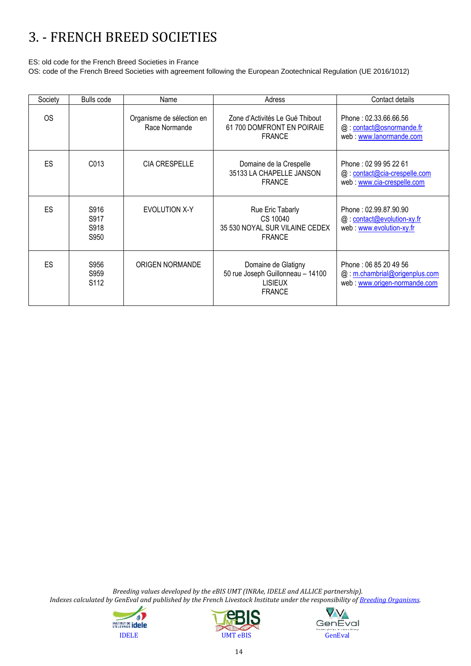# 3. - FRENCH BREED SOCIETIES

ES: old code for the French Breed Societies in France

OS: code of the French Breed Societies with agreement following the European Zootechnical Regulation (UE 2016/1012)

| Society   | <b>Bulls</b> code                | Name                                       | Adress                                                                                      | Contact details                                                                        |
|-----------|----------------------------------|--------------------------------------------|---------------------------------------------------------------------------------------------|----------------------------------------------------------------------------------------|
| <b>OS</b> |                                  | Organisme de sélection en<br>Race Normande | Zone d'Activités Le Gué Thibout<br>61 700 DOMFRONT EN POIRAIE<br><b>FRANCE</b>              | Phone: 02.33.66.66.56<br>@: contact@osnormande.fr<br>web: www.lanormande.com           |
| ES        | C013                             | <b>CIA CRESPELLE</b>                       | Domaine de la Crespelle<br>35133 LA CHAPELLE JANSON<br><b>FRANCE</b>                        | Phone: 02 99 95 22 61<br>@: contact@cia-crespelle.com<br>web: www.cia-crespelle.com    |
| ES        | S916<br>S917<br>S918<br>S950     | EVOLUTION X-Y                              | Rue Eric Tabarly<br>CS 10040<br>35 530 NOYAL SUR VILAINE CEDEX<br><b>FRANCE</b>             | Phone: 02.99.87.90.90<br>@: contact@evolution-xy.fr<br>web: www.evolution-xy.fr        |
| ES        | S956<br>S959<br>S <sub>112</sub> | ORIGEN NORMANDE                            | Domaine de Glatigny<br>50 rue Joseph Guillonneau - 14100<br><b>LISIEUX</b><br><b>FRANCE</b> | Phone: 06 85 20 49 56<br>@: m.chambrial@origenplus.com<br>web: www.origen-normande.com |





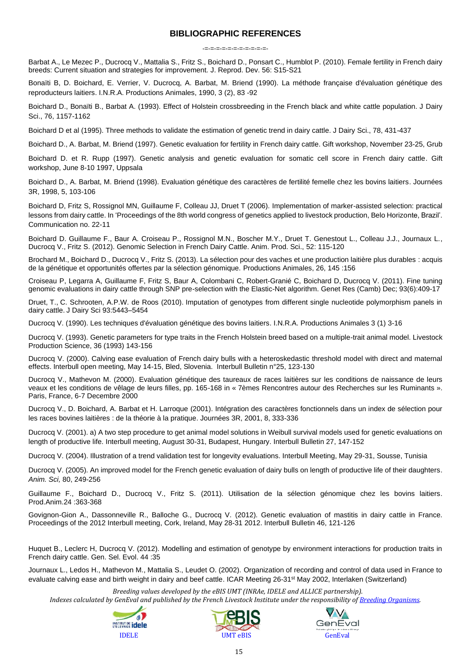#### **BIBLIOGRAPHIC REFERENCES**

-=-=-=-=-=-=-=-=-=-=-=-

Barbat A., Le Mezec P., Ducrocq V., Mattalia S., Fritz S., Boichard D., Ponsart C., Humblot P. (2010). Female fertility in French dairy breeds: Current situation and strategies for improvement*.* J. Reprod. Dev. 56: S15-S21

Bonaïti B, D. Boichard, E. Verrier, V. Ducrocq, A. Barbat, M. Briend (1990). La méthode française d'évaluation génétique des reproducteurs laitiers. I.N.R.A. Productions Animales, 1990, 3 (2), 83 -92

Boichard D., Bonaïti B., Barbat A. (1993). Effect of Holstein crossbreeding in the French black and white cattle population. J Dairy Sci., 76, 1157-1162

Boichard D et al (1995). Three methods to validate the estimation of genetic trend in dairy cattle. J Dairy Sci., 78, 431-437

Boichard D., A. Barbat, M. Briend (1997). Genetic evaluation for fertility in French dairy cattle. Gift workshop, November 23-25, Grub

Boichard D. et R. Rupp (1997). Genetic analysis and genetic evaluation for somatic cell score in French dairy cattle. Gift workshop, June 8-10 1997, Uppsala

Boichard D., A. Barbat, M. Briend (1998). Evaluation génétique des caractères de fertilité femelle chez les bovins laitiers. Journées 3R, 1998, 5, 103-106

Boichard D, Fritz S, Rossignol MN, Guillaume F, Colleau JJ, Druet T (2006). Implementation of marker-assisted selection: practical lessons from dairy cattle. In 'Proceedings of the 8th world congress of genetics applied to livestock production, Belo Horizonte, Brazil'. Communication no. 22-11

Boichard D. Guillaume F., Baur A. Croiseau P., Rossignol M.N., Boscher M.Y., Druet T. Genestout L., Colleau J.J., Journaux L., Ducrocq V., Fritz S. (2012). Genomic Selection in French Dairy Cattle. Anim. Prod. Sci., 52: 115-120

Brochard M., Boichard D., Ducrocq V., Fritz S. (2013). La sélection pour des vaches et une production laitière plus durables : acquis de la génétique et opportunités offertes par la sélection génomique. Productions Animales, 26, 145 :156

[Croiseau P,](http://www.ncbi.nlm.nih.gov/pubmed?term=Croiseau%20P%5BAuthor%5D&cauthor=true&cauthor_uid=22189606) [Legarra A,](http://www.ncbi.nlm.nih.gov/pubmed?term=Legarra%20A%5BAuthor%5D&cauthor=true&cauthor_uid=22189606) [Guillaume F,](http://www.ncbi.nlm.nih.gov/pubmed?term=Guillaume%20F%5BAuthor%5D&cauthor=true&cauthor_uid=22189606) [Fritz S,](http://www.ncbi.nlm.nih.gov/pubmed?term=Fritz%20S%5BAuthor%5D&cauthor=true&cauthor_uid=22189606) [Baur A,](http://www.ncbi.nlm.nih.gov/pubmed?term=Baur%20A%5BAuthor%5D&cauthor=true&cauthor_uid=22189606) [Colombani C,](http://www.ncbi.nlm.nih.gov/pubmed?term=Colombani%20C%5BAuthor%5D&cauthor=true&cauthor_uid=22189606) [Robert-Granié C,](http://www.ncbi.nlm.nih.gov/pubmed?term=Robert-Grani%C3%A9%20C%5BAuthor%5D&cauthor=true&cauthor_uid=22189606) [Boichard D,](http://www.ncbi.nlm.nih.gov/pubmed?term=Boichard%20D%5BAuthor%5D&cauthor=true&cauthor_uid=22189606) [Ducrocq V.](http://www.ncbi.nlm.nih.gov/pubmed?term=Ducrocq%20V%5BAuthor%5D&cauthor=true&cauthor_uid=22189606) (2011). Fine tuning genomic evaluations in dairy cattle through SNP pre-selection with the Elastic-Net algorithm. [Genet Res \(Camb\)](http://www.ncbi.nlm.nih.gov/pubmed/22189606) Dec; 93(6):409-17

Druet, T., C. Schrooten, A.P.W. de Roos (2010). Imputation of genotypes from different single nucleotide polymorphism panels in dairy cattle. J Dairy Sci 93:5443–5454

Ducrocq V. (1990). Les techniques d'évaluation génétique des bovins laitiers. I.N.R.A. Productions Animales 3 (1) 3-16

Ducrocq V. (1993). Genetic parameters for type traits in the French Holstein breed based on a multiple-trait animal model. Livestock Production Science, 36 (1993) 143-156

Ducrocq V. (2000). Calving ease evaluation of French dairy bulls with a heteroskedastic threshold model with direct and maternal effects. Interbull open meeting, May 14-15, Bled, Slovenia. Interbull Bulletin n°25, 123-130

Ducrocq V., Mathevon M. (2000). Evaluation génétique des taureaux de races laitières sur les conditions de naissance de leurs veaux et les conditions de vêlage de leurs filles, pp. 165-168 in « 7èmes Rencontres autour des Recherches sur les Ruminants ». Paris, France, 6-7 Decembre 2000

Ducrocq V., D. Boichard, A. Barbat et H. Larroque (2001). Intégration des caractères fonctionnels dans un index de sélection pour les races bovines laitières : de la théorie à la pratique. Journées 3R, 2001, 8, 333-336

Ducrocq V. (2001). a) A two step procedure to get animal model solutions in Weibull survival models used for genetic evaluations on length of productive life. Interbull meeting, August 30-31, Budapest, Hungary. Interbull Bulletin 27, 147-152

Ducrocq V. (2004). Illustration of a trend validation test for longevity evaluations. Interbull Meeting, May 29-31, Sousse, Tunisia

Ducrocq V. (2005). An improved model for the French genetic evaluation of dairy bulls on length of productive life of their daughters. *Anim. Sci,* 80, 249-256

Guillaume F., Boichard D., Ducrocq V., Fritz S. (2011). Utilisation de la sélection génomique chez les bovins laitiers. Prod.Anim.24 :363-368

Govignon-Gion A., Dassonneville R., Balloche G., Ducrocq V. (2012). Genetic evaluation of mastitis in dairy cattle in France. Proceedings of the 2012 Interbull meeting, Cork, Ireland, May 28-31 2012. Interbull Bulletin 46, 121-126

Huquet B., Leclerc H, Ducrocq V. (2012). Modelling and estimation of genotype by environment interactions for production traits in French dairy cattle. Gen. Sel. Evol. 44 :35

Journaux L., Ledos H., Mathevon M., Mattalia S., Leudet O. (2002). Organization of recording and control of data used in France to evaluate calving ease and birth weight in dairy and beef cattle. ICAR Meeting 26-31<sup>st</sup> May 2002, Interlaken (Switzerland)